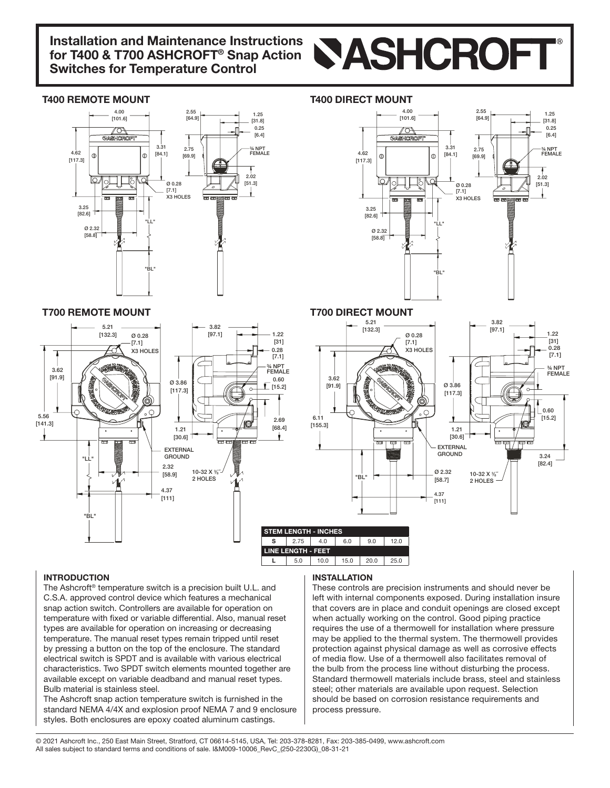# **Installation and Maintenance Instructions** Installation and Maintenance Instructions<br>for T400 & T700 ASHCROFT® Snap Action<br>Cuitables for Temperature Central **Switches for Temperature Control**

### **T400 REMOTE MOUNT**



## **T400 DIRECT MOUNT**



### **T700 REMOTE MOUNT**



# INTRODUCTION

The Ashcroft<sup>®</sup> temperature switch is a precision built U.L. and C.S.A. approved control device which features a mechanical snap action switch. Controllers are available for operation on temperature with fixed or variable differential. Also, manual reset types are available for operation on increasing or decreasing temperature. The manual reset types remain tripped until reset by pressing a button on the top of the enclosure. The standard electrical switch is SPDT and is available with various electrical characteristics. Two SPDT switch elements mounted together are available except on variable deadband and manual reset types. Bulb material is stainless steel.

The Ashcroft snap action temperature switch is furnished in the standard NEMA 4/4X and explosion proof NEMA 7 and 9 enclosure styles. Both enclosures are epoxy coated aluminum castings.

#### INSTALLATION

These controls are precision instruments and should never be left with internal components exposed. During installation insure that covers are in place and conduit openings are closed except when actually working on the control. Good piping practice requires the use of a thermowell for installation where pressure may be applied to the thermal system. The thermowell provides protection against physical damage as well as corrosive effects of media flow. Use of a thermowell also facilitates removal of the bulb from the process line without disturbing the process. Standard thermowell materials include brass, steel and stainless steel; other materials are available upon request. Selection should be based on corrosion resistance requirements and process pressure.

@ 2021 Ashcroft Inc., 250 East Main Street, Stratford, CT 06614-5145, USA, Tel: 203-378-8281, Fax: 203-385-0499, www.ashcroft.com All sales subject to standard terms and conditions of sale. I&M009-10006 RevC (250-2230G) 08-31-21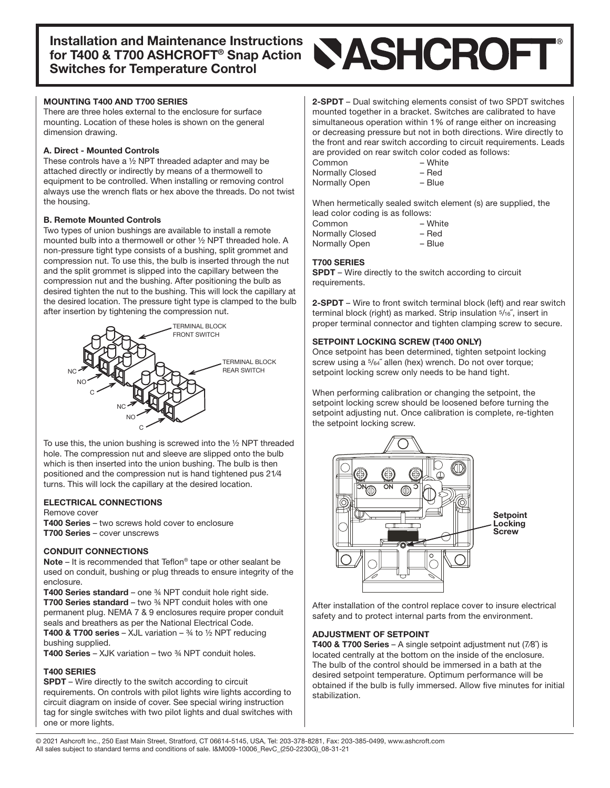#### **MOUNTING T400 AND T700 SERIES**

There are three holes external to the enclosure for surface mounting. Location of these holes is shown on the general dimension drawing.

#### A. Direct - Mounted Controls

These controls have a  $\frac{1}{2}$  NPT threaded adapter and may be attached directly or indirectly by means of a thermowell to equipment to be controlled. When installing or removing control always use the wrench flats or hex above the threads. Do not twist the housing.

#### **B. Remote Mounted Controls**

Two types of union bushings are available to install a remote mounted bulb into a thermowell or other 1/2 NPT threaded hole. A non-pressure tight type consists of a bushing, split grommet and compression nut. To use this, the bulb is inserted through the nut and the split grommet is slipped into the capillary between the compression nut and the bushing. After positioning the bulb as desired tighten the nut to the bushing. This will lock the capillary at the desired location. The pressure tight type is clamped to the bulb after insertion by tightening the compression nut.



To use this, the union bushing is screwed into the  $\frac{1}{2}$  NPT threaded hole. The compression nut and sleeve are slipped onto the bulb which is then inserted into the union bushing. The bulb is then positioned and the compression nut is hand tightened pus 21/4 turns. This will lock the capillary at the desired location.

#### **ELECTRICAL CONNECTIONS**

Remove cover T400 Series – two screws hold cover to enclosure T700 Series – cover unscrews

#### **CONDUIT CONNECTIONS**

**Note** – It is recommended that Teflon<sup>®</sup> tape or other sealant be used on conduit, bushing or plug threads to ensure integrity of the .enclosure

**T400 Series standard** – one  $\frac{3}{4}$  NPT conduit hole right side. T700 Series standard – two  $\frac{3}{4}$  NPT conduit holes with one permanent plug. NEMA 7 & 9 enclosures require proper conduit seals and breathers as per the National Electrical Code. **T400 & T700 series – XJL variation –**  $\frac{3}{4}$  **to**  $\frac{1}{2}$  **NPT reducing** 

bushing supplied. **T400 Series – XJK variation – two**  $\frac{3}{4}$  **NPT conduit holes.** 

#### **T400 SERIES**

**SPDT** – Wire directly to the switch according to circuit requirements. On controls with pilot lights wire lights according to circuit diagram on inside of cover. See special wiring instruction tag for single switches with two pilot lights and dual switches with one or more lights.

2-SPDT - Dual switching elements consist of two SPDT switches mounted together in a bracket. Switches are calibrated to have simultaneous operation within 1% of range either on increasing or decreasing pressure but not in both directions. Wire directly to the front and rear switch according to circuit requirements. Leads are provided on rear switch color coded as follows:

| Common          | – Whit |
|-----------------|--------|
| Normally Closed | – Red  |
| Normally Open   | - Blue |

 $-$  White – Red

When hermetically sealed switch element (s) are supplied, the lead color coding is as follows:

| Common          | – White |
|-----------------|---------|
| Normally Closed | – Red   |
| Normally Open   | - Blue  |

#### **T700 SERIES**

SPDT – Wire directly to the switch according to circuit .requirements

2-SPDT – Wire to front switch terminal block (left) and rear switch terminal block (right) as marked. Strip insulation 5/16", insert in proper terminal connector and tighten clamping screw to secure.

#### SETPOINT LOCKING SCREW (T400 ONLY)

Once setpoint has been determined, tighten setpoint locking screw using a 5/64" allen (hex) wrench. Do not over torque; setpoint locking screw only needs to be hand tight.

When performing calibration or changing the setpoint, the setpoint locking screw should be loosened before turning the setpoint adjusting nut. Once calibration is complete, re-tighten the setpoint locking screw.



After installation of the control replace cover to insure electrical safety and to protect internal parts from the environment.

#### **ADJUSTMENT OF SETPOINT**

**T400 & T700 Series** – A single setpoint adjustment nut  $(7/8)$  is located centrally at the bottom on the inside of the enclosure. The bulb of the control should be immersed in a bath at the desired setpoint temperature. Optimum performance will be obtained if the bulb is fully immersed. Allow five minutes for initial .stabilization

@ 2021 Ashcroft Inc., 250 East Main Street, Stratford, CT 06614-5145, USA, Tel: 203-378-8281, Fax: 203-385-0499, www.ashcroft.com All sales subject to standard terms and conditions of sale. I&M009-10006 RevC (250-2230G) 08-31-21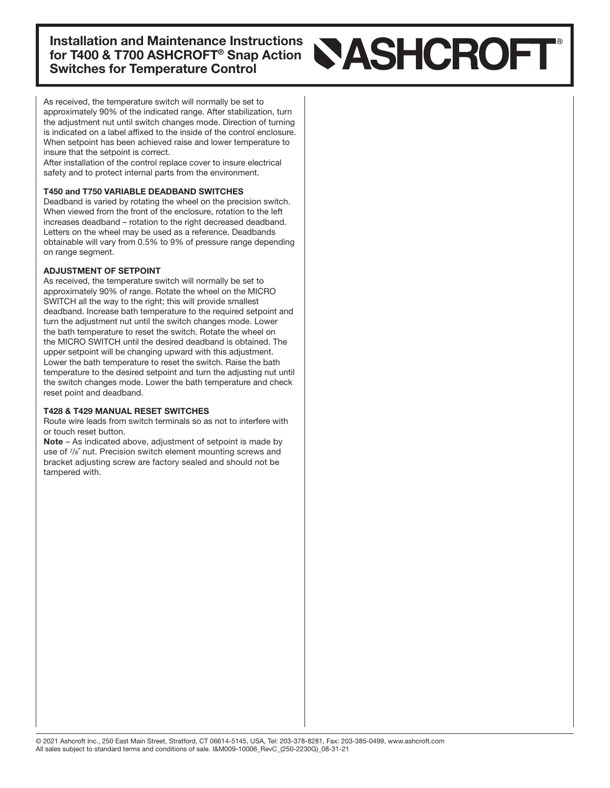**Installation and Maintenance Instructions** for T400 & T700 ASHCROFT<sup>®</sup> Snap Action **Switches for Temperature Control** 

# **NASHCROFT**

As received, the temperature switch will normally be set to approximately 90% of the indicated range. After stabilization, turn the adjustment nut until switch changes mode. Direction of turning is indicated on a label affixed to the inside of the control enclosure. When setpoint has been achieved raise and lower temperature to insure that the setpoint is correct.

After installation of the control replace cover to insure electrical safety and to protect internal parts from the environment.

#### T450 and T750 VARIABLE DEADBAND SWITCHES

Deadband is varied by rotating the wheel on the precision switch. When viewed from the front of the enclosure, rotation to the left increases deadband – rotation to the right decreased deadband. Letters on the wheel may be used as a reference. Deadbands obtainable will vary from 0.5% to 9% of pressure range depending on range segment.

#### **ADJUSTMENT OF SETPOINT**

As received, the temperature switch will normally be set to approximately 90% of range. Rotate the wheel on the MICRO SWITCH all the way to the right; this will provide smallest deadband. Increase bath temperature to the required setpoint and turn the adjustment nut until the switch changes mode. Lower the bath temperature to reset the switch. Rotate the wheel on the MICRO SWITCH until the desired deadband is obtained. The upper setpoint will be changing upward with this adjustment. Lower the bath temperature to reset the switch. Raise the bath temperature to the desired setpoint and turn the adjusting nut until the switch changes mode. Lower the bath temperature and check reset point and deadband.

#### T428 & T429 MANUAL RESET SWITCHES

Route wire leads from switch terminals so as not to interfere with or touch reset button.

 $Note - As indicated above, adjustment of setpoint is made by$ use of  $\frac{7}{8}$  nut. Precision switch element mounting screws and bracket adjusting screw are factory sealed and should not be tampered with.